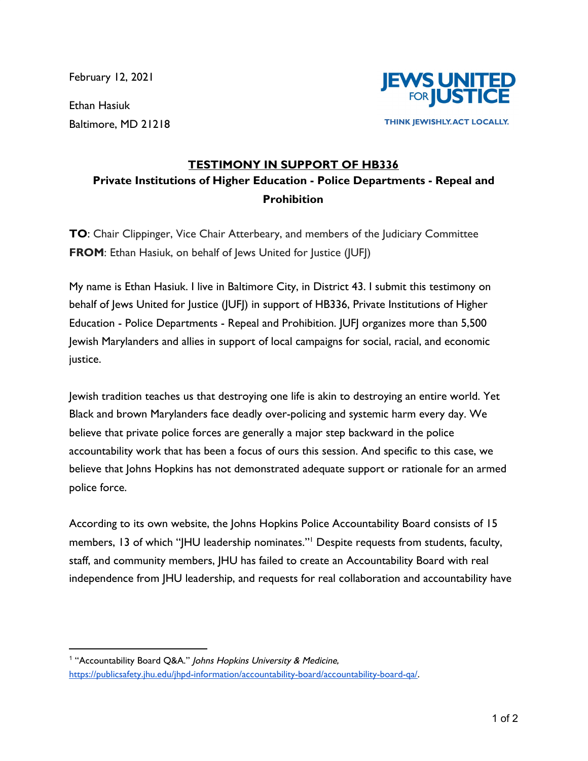February 12, 2021

Ethan Hasiuk Baltimore, MD 21218



THINK JEWISHLY. ACT LOCALLY.

## **TESTIMONY IN SUPPORT OF HB336 Private Institutions of Higher Education - Police Departments - Repeal and Prohibition**

**TO**: Chair Clippinger, Vice Chair Atterbeary, and members of the Judiciary Committee **FROM:** Ethan Hasiuk, on behalf of Jews United for Justice (JUFJ)

My name is Ethan Hasiuk. I live in Baltimore City, in District 43. I submit this testimony on behalf of Jews United for Justice (JUFJ) in support of HB336, Private Institutions of Higher Education - Police Departments - Repeal and Prohibition. JUFJ organizes more than 5,500 Jewish Marylanders and allies in support of local campaigns for social, racial, and economic justice.

Jewish tradition teaches us that destroying one life is akin to destroying an entire world. Yet Black and brown Marylanders face deadly over-policing and systemic harm every day. We believe that private police forces are generally a major step backward in the police accountability work that has been a focus of ours this session. And specific to this case, we believe that Johns Hopkins has not demonstrated adequate support or rationale for an armed police force.

According to its own website, the Johns Hopkins Police Accountability Board consists of 15 members, 13 of which "JHU leadership nominates."<sup>1</sup> Despite requests from students, faculty, staff, and community members, JHU has failed to create an Accountability Board with real independence from JHU leadership, and requests for real collaboration and accountability have

<sup>&</sup>lt;sup>1</sup> "Accountability Board Q&A." Johns Hopkins University & Medicine, [https://publicsafety.jhu.edu/jhpd-information/accountability-board/accountability-board-qa/.](https://publicsafety.jhu.edu/jhpd-information/accountability-board/accountability-board-qa/)